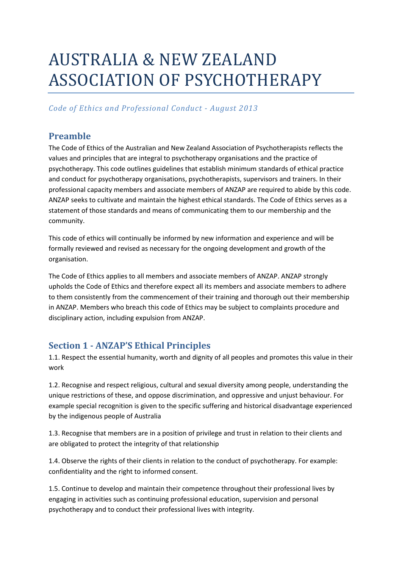# AUSTRALIA & NEW ZEALAND ASSOCIATION OF PSYCHOTHERAPY

# *Code of Ethics and Professional Conduct - August 2013*

# **Preamble**

The Code of Ethics of the Australian and New Zealand Association of Psychotherapists reflects the values and principles that are integral to psychotherapy organisations and the practice of psychotherapy. This code outlines guidelines that establish minimum standards of ethical practice and conduct for psychotherapy organisations, psychotherapists, supervisors and trainers. In their professional capacity members and associate members of ANZAP are required to abide by this code. ANZAP seeks to cultivate and maintain the highest ethical standards. The Code of Ethics serves as a statement of those standards and means of communicating them to our membership and the community.

This code of ethics will continually be informed by new information and experience and will be formally reviewed and revised as necessary for the ongoing development and growth of the organisation.

The Code of Ethics applies to all members and associate members of ANZAP. ANZAP strongly upholds the Code of Ethics and therefore expect all its members and associate members to adhere to them consistently from the commencement of their training and thorough out their membership in ANZAP. Members who breach this code of Ethics may be subject to complaints procedure and disciplinary action, including expulsion from ANZAP.

# **Section 1 - ANZAP'S Ethical Principles**

1.1. Respect the essential humanity, worth and dignity of all peoples and promotes this value in their work

1.2. Recognise and respect religious, cultural and sexual diversity among people, understanding the unique restrictions of these, and oppose discrimination, and oppressive and unjust behaviour. For example special recognition is given to the specific suffering and historical disadvantage experienced by the indigenous people of Australia

1.3. Recognise that members are in a position of privilege and trust in relation to their clients and are obligated to protect the integrity of that relationship

1.4. Observe the rights of their clients in relation to the conduct of psychotherapy. For example: confidentiality and the right to informed consent.

1.5. Continue to develop and maintain their competence throughout their professional lives by engaging in activities such as continuing professional education, supervision and personal psychotherapy and to conduct their professional lives with integrity.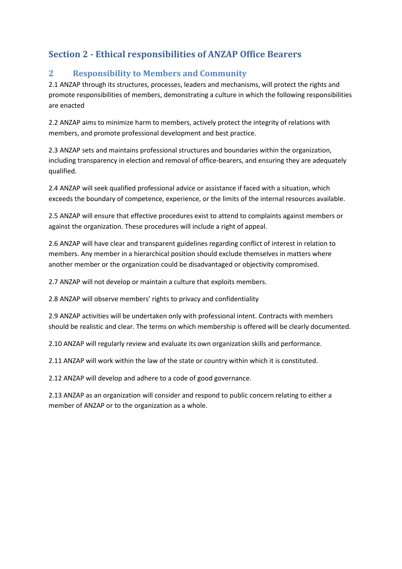# **Section 2 - Ethical responsibilities of ANZAP Office Bearers**

# **2 Responsibility to Members and Community**

2.1 ANZAP through its structures, processes, leaders and mechanisms, will protect the rights and promote responsibilities of members, demonstrating a culture in which the following responsibilities are enacted

2.2 ANZAP aims to minimize harm to members, actively protect the integrity of relations with members, and promote professional development and best practice.

2.3 ANZAP sets and maintains professional structures and boundaries within the organization, including transparency in election and removal of office-bearers, and ensuring they are adequately qualified.

2.4 ANZAP will seek qualified professional advice or assistance if faced with a situation, which exceeds the boundary of competence, experience, or the limits of the internal resources available.

2.5 ANZAP will ensure that effective procedures exist to attend to complaints against members or against the organization. These procedures will include a right of appeal.

2.6 ANZAP will have clear and transparent guidelines regarding conflict of interest in relation to members. Any member in a hierarchical position should exclude themselves in matters where another member or the organization could be disadvantaged or objectivity compromised.

2.7 ANZAP will not develop or maintain a culture that exploits members.

2.8 ANZAP will observe members' rights to privacy and confidentiality

2.9 ANZAP activities will be undertaken only with professional intent. Contracts with members should be realistic and clear. The terms on which membership is offered will be clearly documented.

2.10 ANZAP will regularly review and evaluate its own organization skills and performance.

2.11 ANZAP will work within the law of the state or country within which it is constituted.

2.12 ANZAP will develop and adhere to a code of good governance.

2.13 ANZAP as an organization will consider and respond to public concern relating to either a member of ANZAP or to the organization as a whole.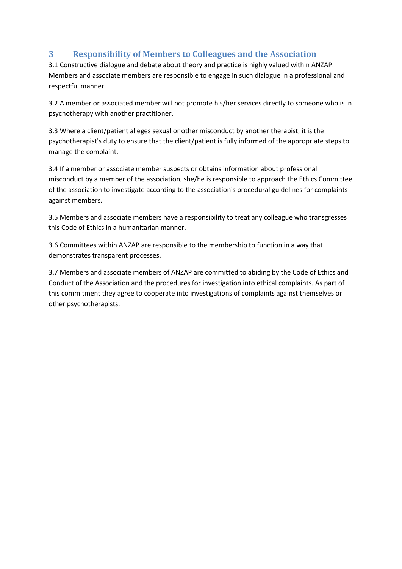# **3 Responsibility of Members to Colleagues and the Association**

3.1 Constructive dialogue and debate about theory and practice is highly valued within ANZAP. Members and associate members are responsible to engage in such dialogue in a professional and respectful manner.

3.2 A member or associated member will not promote his/her services directly to someone who is in psychotherapy with another practitioner.

3.3 Where a client/patient alleges sexual or other misconduct by another therapist, it is the psychotherapist's duty to ensure that the client/patient is fully informed of the appropriate steps to manage the complaint.

3.4 If a member or associate member suspects or obtains information about professional misconduct by a member of the association, she/he is responsible to approach the Ethics Committee of the association to investigate according to the association's procedural guidelines for complaints against members.

3.5 Members and associate members have a responsibility to treat any colleague who transgresses this Code of Ethics in a humanitarian manner.

3.6 Committees within ANZAP are responsible to the membership to function in a way that demonstrates transparent processes.

3.7 Members and associate members of ANZAP are committed to abiding by the Code of Ethics and Conduct of the Association and the procedures for investigation into ethical complaints. As part of this commitment they agree to cooperate into investigations of complaints against themselves or other psychotherapists.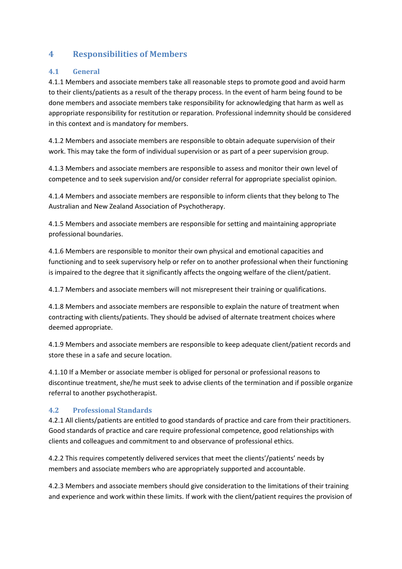### **4 Responsibilities of Members**

#### **4.1 General**

4.1.1 Members and associate members take all reasonable steps to promote good and avoid harm to their clients/patients as a result of the therapy process. In the event of harm being found to be done members and associate members take responsibility for acknowledging that harm as well as appropriate responsibility for restitution or reparation. Professional indemnity should be considered in this context and is mandatory for members.

4.1.2 Members and associate members are responsible to obtain adequate supervision of their work. This may take the form of individual supervision or as part of a peer supervision group.

4.1.3 Members and associate members are responsible to assess and monitor their own level of competence and to seek supervision and/or consider referral for appropriate specialist opinion.

4.1.4 Members and associate members are responsible to inform clients that they belong to The Australian and New Zealand Association of Psychotherapy.

4.1.5 Members and associate members are responsible for setting and maintaining appropriate professional boundaries.

4.1.6 Members are responsible to monitor their own physical and emotional capacities and functioning and to seek supervisory help or refer on to another professional when their functioning is impaired to the degree that it significantly affects the ongoing welfare of the client/patient.

4.1.7 Members and associate members will not misrepresent their training or qualifications.

4.1.8 Members and associate members are responsible to explain the nature of treatment when contracting with clients/patients. They should be advised of alternate treatment choices where deemed appropriate.

4.1.9 Members and associate members are responsible to keep adequate client/patient records and store these in a safe and secure location.

4.1.10 If a Member or associate member is obliged for personal or professional reasons to discontinue treatment, she/he must seek to advise clients of the termination and if possible organize referral to another psychotherapist.

#### **4.2 Professional Standards**

4.2.1 All clients/patients are entitled to good standards of practice and care from their practitioners. Good standards of practice and care require professional competence, good relationships with clients and colleagues and commitment to and observance of professional ethics.

4.2.2 This requires competently delivered services that meet the clients'/patients' needs by members and associate members who are appropriately supported and accountable.

4.2.3 Members and associate members should give consideration to the limitations of their training and experience and work within these limits. If work with the client/patient requires the provision of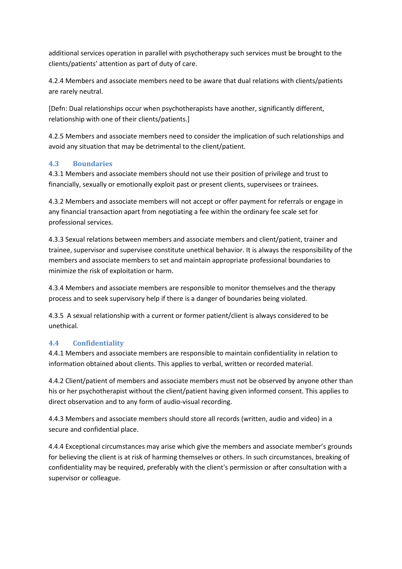additional services operation in parallel with psychotherapy such services must be brought to the clients/patients' attention as part of duty of care.

4.2.4 Members and associate members need to be aware that dual relations with clients/patients are rarely neutral.

[Defn: Dual relationships occur when psychotherapists have another, significantly different, relationship with one of their clients/patients.]

4.2.5 Members and associate members need to consider the implication of such relationships and avoid any situation that may be detrimental to the client/patient.

#### **4.3 Boundaries**

4.3.1 Members and associate members should not use their position of privilege and trust to financially, sexually or emotionally exploit past or present clients, supervisees or trainees.

4.3.2 Members and associate members will not accept or offer payment for referrals or engage in any financial transaction apart from negotiating a fee within the ordinary fee scale set for professional services.

4.3.3 Sexual relations between members and associate members and client/patient, trainer and trainee, supervisor and supervisee constitute unethical behavior. It is always the responsibility of the members and associate members to set and maintain appropriate professional boundaries to minimize the risk of exploitation or harm.

4.3.4 Members and associate members are responsible to monitor themselves and the therapy process and to seek supervisory help if there is a danger of boundaries being violated.

4.3.5 A sexual relationship with a current or former patient/client is always considered to be unethical.

#### **4.4 Confidentiality**

4.4.1 Members and associate members are responsible to maintain confidentiality in relation to information obtained about clients. This applies to verbal, written or recorded material.

4.4.2 Client/patient of members and associate members must not be observed by anyone other than his or her psychotherapist without the client/patient having given informed consent. This applies to direct observation and to any form of audio-visual recording.

4.4.3 Members and associate members should store all records (written, audio and video) in a secure and confidential place.

4.4.4 Exceptional circumstances may arise which give the members and associate member's grounds for believing the client is at risk of harming themselves or others. In such circumstances, breaking of confidentiality may be required, preferably with the client's permission or after consultation with a supervisor or colleague.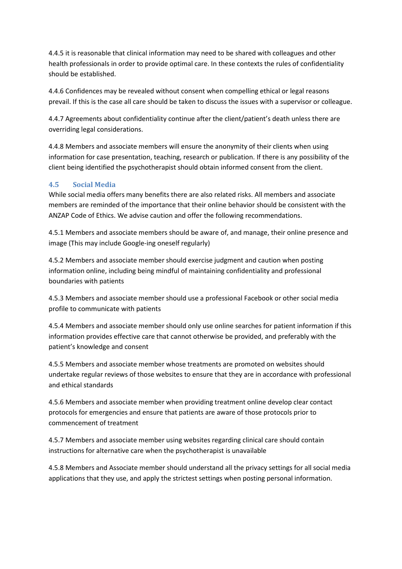4.4.5 it is reasonable that clinical information may need to be shared with colleagues and other health professionals in order to provide optimal care. In these contexts the rules of confidentiality should be established.

4.4.6 Confidences may be revealed without consent when compelling ethical or legal reasons prevail. If this is the case all care should be taken to discuss the issues with a supervisor or colleague.

4.4.7 Agreements about confidentiality continue after the client/patient's death unless there are overriding legal considerations.

4.4.8 Members and associate members will ensure the anonymity of their clients when using information for case presentation, teaching, research or publication. If there is any possibility of the client being identified the psychotherapist should obtain informed consent from the client.

#### **4.5 Social Media**

While social media offers many benefits there are also related risks. All members and associate members are reminded of the importance that their online behavior should be consistent with the ANZAP Code of Ethics. We advise caution and offer the following recommendations.

4.5.1 Members and associate members should be aware of, and manage, their online presence and image (This may include Google-ing oneself regularly)

4.5.2 Members and associate member should exercise judgment and caution when posting information online, including being mindful of maintaining confidentiality and professional boundaries with patients

4.5.3 Members and associate member should use a professional Facebook or other social media profile to communicate with patients

4.5.4 Members and associate member should only use online searches for patient information if this information provides effective care that cannot otherwise be provided, and preferably with the patient's knowledge and consent

4.5.5 Members and associate member whose treatments are promoted on websites should undertake regular reviews of those websites to ensure that they are in accordance with professional and ethical standards

4.5.6 Members and associate member when providing treatment online develop clear contact protocols for emergencies and ensure that patients are aware of those protocols prior to commencement of treatment

4.5.7 Members and associate member using websites regarding clinical care should contain instructions for alternative care when the psychotherapist is unavailable

4.5.8 Members and Associate member should understand all the privacy settings for all social media applications that they use, and apply the strictest settings when posting personal information.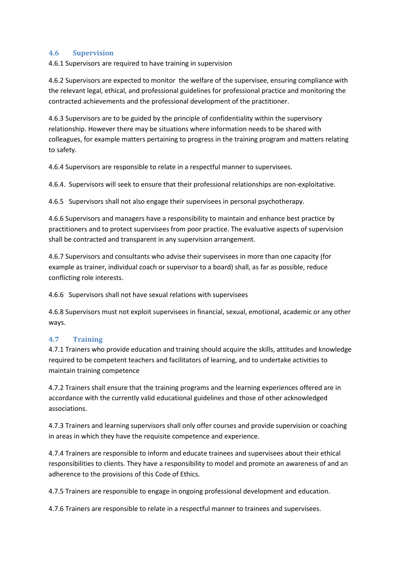#### **4.6 Supervision**

4.6.1 Supervisors are required to have training in supervision

4.6.2 Supervisors are expected to monitor the welfare of the supervisee, ensuring compliance with the relevant legal, ethical, and professional guidelines for professional practice and monitoring the contracted achievements and the professional development of the practitioner.

4.6.3 Supervisors are to be guided by the principle of confidentiality within the supervisory relationship. However there may be situations where information needs to be shared with colleagues, for example matters pertaining to progress in the training program and matters relating to safety.

4.6.4 Supervisors are responsible to relate in a respectful manner to supervisees.

4.6.4. Supervisors will seek to ensure that their professional relationships are non-exploitative.

4.6.5 Supervisors shall not also engage their supervisees in personal psychotherapy.

4.6.6 Supervisors and managers have a responsibility to maintain and enhance best practice by practitioners and to protect supervisees from poor practice. The evaluative aspects of supervision shall be contracted and transparent in any supervision arrangement.

4.6.7 Supervisors and consultants who advise their supervisees in more than one capacity (for example as trainer, individual coach or supervisor to a board) shall, as far as possible, reduce conflicting role interests.

4.6.6 Supervisors shall not have sexual relations with supervisees

4.6.8 Supervisors must not exploit supervisees in financial, sexual, emotional, academic or any other ways.

#### **4.7 Training**

4.7.1 Trainers who provide education and training should acquire the skills, attitudes and knowledge required to be competent teachers and facilitators of learning, and to undertake activities to maintain training competence

4.7.2 Trainers shall ensure that the training programs and the learning experiences offered are in accordance with the currently valid educational guidelines and those of other acknowledged associations.

4.7.3 Trainers and learning supervisors shall only offer courses and provide supervision or coaching in areas in which they have the requisite competence and experience.

4.7.4 Trainers are responsible to inform and educate trainees and supervisees about their ethical responsibilities to clients. They have a responsibility to model and promote an awareness of and an adherence to the provisions of this Code of Ethics.

4.7.5 Trainers are responsible to engage in ongoing professional development and education.

4.7.6 Trainers are responsible to relate in a respectful manner to trainees and supervisees.